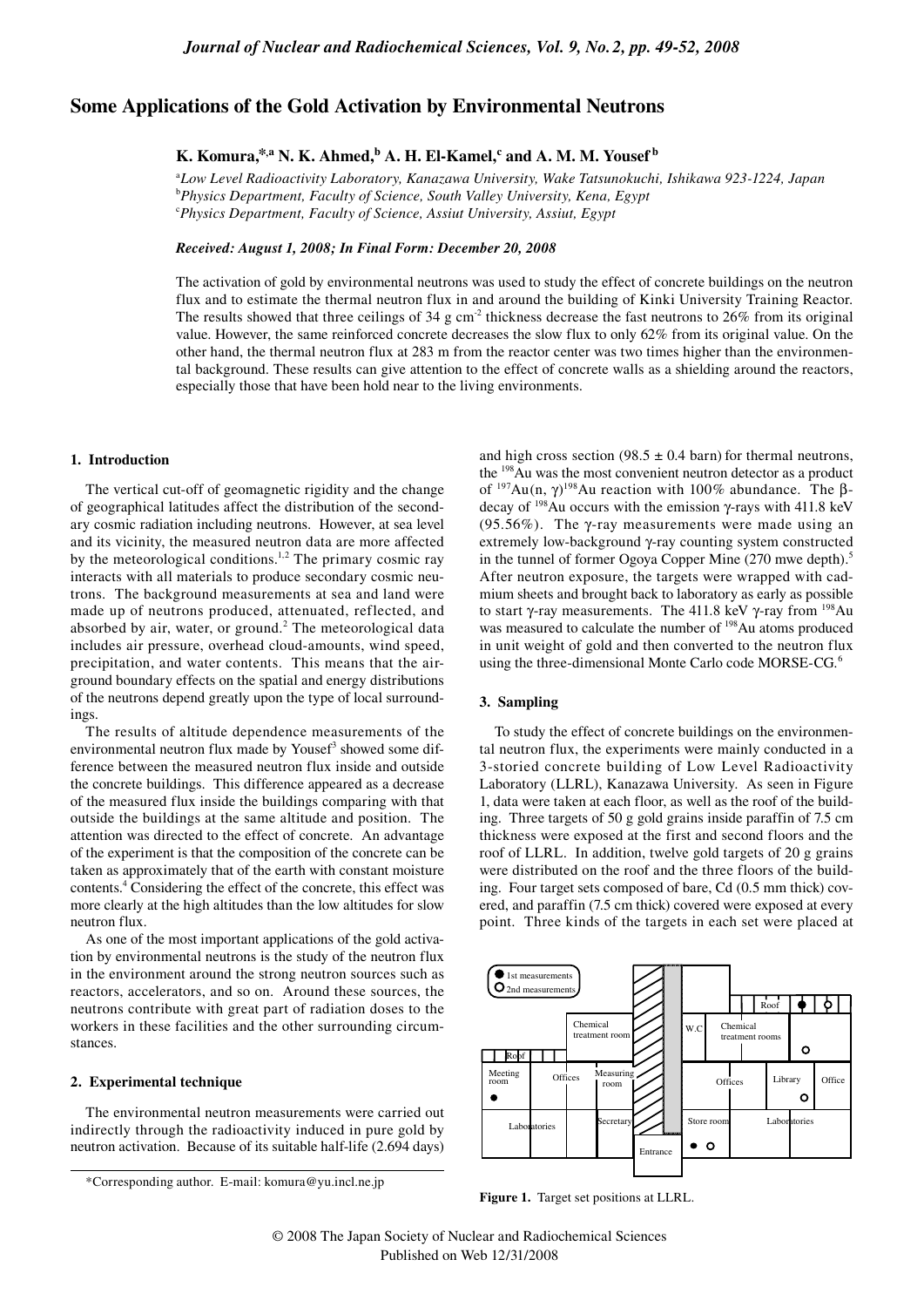# Some Applications of the Gold Activation by Environmental Neutrons

# K. Komura,\*,a N. K. Ahmed, b A. H. El-Kamel,c and A. M. M. Yousef b

aLow Level Radioactivity Laboratory, Kanazawa University, Wake Tatsunokuchi, Ishikawa 923-1224, Japan <sup>b</sup>Physics Department, Faculty of Science, South Valley University, Kena, Egypt <sup>c</sup>Physics Department, Faculty of Science, Assiut University, Assiut, Egypt

### Received: August 1, 2008; In Final Form: December 20, 2008

The activation of gold by environmental neutrons was used to study the effect of concrete buildings on the neutron flux and to estimate the thermal neutron flux in and around the building of Kinki University Training Reactor. The results showed that three ceilings of 34 g cm<sup>2</sup> thickness decrease the fast neutrons to 26% from its original value. However, the same reinforced concrete decreases the slow flux to only  $62\%$  from its original value. On the other hand, the thermal neutron flux at 283 m from the reactor center was two times higher than the environmental background. These results can give attention to the effect of concrete walls as a shielding around the reactors, especially those that have been hold near to the living environments.

### 1. Introduction

The vertical cut-off of geomagnetic rigidity and the change of geographical latitudes affect the distribution of the secondary cosmic radiation including neutrons. However, at sea level and its vicinity, the measured neutron data are more affected by the meteorological conditions.<sup>1,2</sup> The primary cosmic ray interacts with all materials to produce secondary cosmic neutrons. The background measurements at sea and land were made up of neutrons produced, attenuated, reflected, and absorbed by air, water, or ground.<sup>2</sup> The meteorological data includes air pressure, overhead cloud-amounts, wind speed, precipitation, and water contents. This means that the airground boundary effects on the spatial and energy distributions of the neutrons depend greatly upon the type of local surroundings.

The results of altitude dependence measurements of the environmental neutron flux made by Yousef<sup>3</sup> showed some difference between the measured neutron flux inside and outside the concrete buildings. This difference appeared as a decrease of the measured flux inside the buildings comparing with that outside the buildings at the same altitude and position. The attention was directed to the effect of concrete. An advantage of the experiment is that the composition of the concrete can be taken as approximately that of the earth with constant moisture contents.<sup>4</sup> Considering the effect of the concrete, this effect was more clearly at the high altitudes than the low altitudes for slow neutron flux.

As one of the most important applications of the gold activation by environmental neutrons is the study of the neutron flux in the environment around the strong neutron sources such as reactors, accelerators, and so on. Around these sources, the neutrons contribute with great part of radiation doses to the workers in these facilities and the other surrounding circumstances.

### 2. Experimental technique

The environmental neutron measurements were carried out indirectly through the radioactivity induced in pure gold by neutron activation. Because of its suitable half-life (2.694 days)

and high cross section (98.5  $\pm$  0.4 barn) for thermal neutrons, the <sup>198</sup>Au was the most convenient neutron detector as a product of  $197Au(n, \gamma)^{198}Au$  reaction with 100% abundance. The  $\beta$ decay of  $^{198}$ Au occurs with the emission  $\gamma$ -rays with 411.8 keV (95.56%). The  $\gamma$ -ray measurements were made using an extremely low-background y-ray counting system constructed in the tunnel of former Ogoya Copper Mine (270 mwe depth).<sup>5</sup> After neutron exposure, the targets were wrapped with cadmium sheets and brought back to laboratory as early as possible to start  $\gamma$ -ray measurements. The 411.8 keV  $\gamma$ -ray from <sup>198</sup>Au was measured to calculate the number of <sup>198</sup>Au atoms produced in unit weight of gold and then converted to the neutron flux using the three-dimensional Monte Carlo code MORSE-CG.<sup>6</sup>

## 3. Sampling

To study the effect of concrete buildings on the environmental neutron flux, the experiments were mainly conducted in a 3-storied concrete building of Low Level Radioactivity Laboratory (LLRL), Kanazawa University. As seen in Figure 1, data were taken at each floor, as well as the roof of the building. Three targets of 50 g gold grains inside paraffin of 7.5 cm thickness were exposed at the first and second floors and the roof of LLRL. In addition, twelve gold targets of 20 g grains were distributed on the roof and the three floors of the building. Four target sets composed of bare, Cd (0.5 mm thick) covered, and paraffin (7.5 cm thick) covered were exposed at every point. Three kinds of the targets in each set were placed at



Figure 1. Target set positions at LLRL.

<sup>\*</sup>Corresponding author. E-mail: komura@yu.incl.ne.jp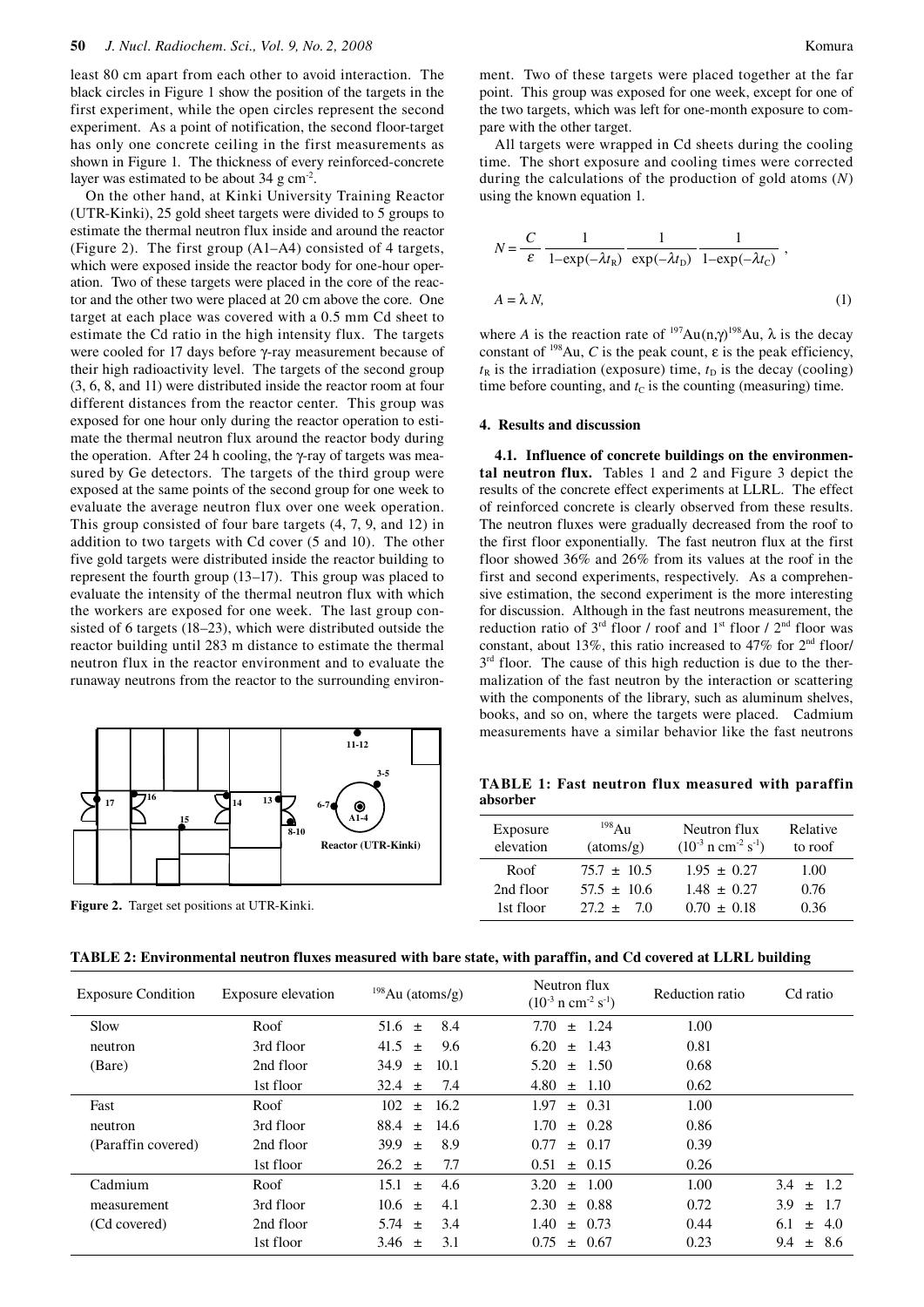least 80 cm apart from each other to avoid interaction. The black circles in Figure 1 show the position of the targets in the first experiment, while the open circles represent the second experiment. As a point of notification, the second floor-target has only one concrete ceiling in the first measurements as shown in Figure 1. The thickness of every reinforced-concrete layer was estimated to be about  $34 \text{ g cm}^2$ .

On the other hand, at Kinki University Training Reactor (UTR-Kinki), 25 gold sheet targets were divided to 5 groups to estimate the thermal neutron flux inside and around the reactor (Figure 2). The first group (A1–A4) consisted of 4 targets, which were exposed inside the reactor body for one-hour operation. Two of these targets were placed in the core of the reactor and the other two were placed at 20 cm above the core. One target at each place was covered with a 0.5 mm Cd sheet to estimate the Cd ratio in the high intensity flux. The targets were cooled for 17 days before γ-ray measurement because of their high radioactivity level. The targets of the second group (3, 6, 8, and 11) were distributed inside the reactor room at four different distances from the reactor center. This group was exposed for one hour only during the reactor operation to estimate the thermal neutron flux around the reactor body during the operation. After 24 h cooling, the γ-ray of targets was measured by Ge detectors. The targets of the third group were exposed at the same points of the second group for one week to evaluate the average neutron flux over one week operation. This group consisted of four bare targets (4, 7, 9, and 12) in addition to two targets with Cd cover (5 and 10). The other five gold targets were distributed inside the reactor building to represent the fourth group (13–17). This group was placed to evaluate the intensity of the thermal neutron flux with which the workers are exposed for one week. The last group consisted of 6 targets (18–23), which were distributed outside the reactor building until 283 m distance to estimate the thermal neutron flux in the reactor environment and to evaluate the runaway neutrons from the reactor to the surrounding environ-



**Figure 2.** Target set positions at UTR-Kinki.

ment. Two of these targets were placed together at the far point. This group was exposed for one week, except for one of the two targets, which was left for one-month exposure to compare with the other target.

All targets were wrapped in Cd sheets during the cooling time. The short exposure and cooling times were corrected during the calculations of the production of gold atoms (*N*) using the known equation 1.

$$
N = \frac{C}{\varepsilon} \frac{1}{1 - \exp(-\lambda t_{\rm R})} \frac{1}{\exp(-\lambda t_{\rm D})} \frac{1}{1 - \exp(-\lambda t_{\rm C})},
$$
  

$$
A = \lambda N,
$$
 (1)

where *A* is the reaction rate of  $^{197}Au(n,\gamma)^{198}Au$ ,  $\lambda$  is the decay constant of  $198$ Au, *C* is the peak count,  $\varepsilon$  is the peak efficiency,  $t<sub>R</sub>$  is the irradiation (exposure) time,  $t<sub>D</sub>$  is the decay (cooling) time before counting, and  $t<sub>C</sub>$  is the counting (measuring) time.

#### **4. Results and discussion**

**4.1. Influence of concrete buildings on the environmental neutron flux.** Tables 1 and 2 and Figure 3 depict the results of the concrete effect experiments at LLRL. The effect of reinforced concrete is clearly observed from these results. The neutron fluxes were gradually decreased from the roof to the first floor exponentially. The fast neutron flux at the first floor showed 36% and 26% from its values at the roof in the first and second experiments, respectively. As a comprehensive estimation, the second experiment is the more interesting for discussion. Although in the fast neutrons measurement, the reduction ratio of  $3<sup>rd</sup>$  floor / roof and  $1<sup>st</sup>$  floor /  $2<sup>nd</sup>$  floor was constant, about 13%, this ratio increased to 47% for  $2<sup>nd</sup>$  floor/  $3<sup>rd</sup>$  floor. The cause of this high reduction is due to the thermalization of the fast neutron by the interaction or scattering with the components of the library, such as aluminum shelves, books, and so on, where the targets were placed. Cadmium measurements have a similar behavior like the fast neutrons

**TABLE 1: Fast neutron flux measured with paraffin absorber**

| Exposure<br>elevation | $^{198}$ Au<br>(atoms/g) | Neutron flux<br>$(10^{-3} \text{ n cm}^{-2} \text{ s}^{-1})$ | Relative<br>to roof |
|-----------------------|--------------------------|--------------------------------------------------------------|---------------------|
| Roof                  | $75.7 \pm 10.5$          | $1.95 \pm 0.27$                                              | 1.00                |
| 2nd floor             | $57.5 + 10.6$            | $1.48 + 0.27$                                                | 0.76                |
| 1st floor             | $27.2 +$<br>70           | $0.70 + 0.18$                                                | 0.36                |

| TABLE 2: Environmental neutron fluxes measured with bare state, with paraffin, and Cd covered at LLRL building |  |  |  |  |  |  |
|----------------------------------------------------------------------------------------------------------------|--|--|--|--|--|--|
|----------------------------------------------------------------------------------------------------------------|--|--|--|--|--|--|

| <b>Exposure Condition</b> | Exposure elevation | $198$ Au (atoms/g)    | Neutron flux<br>$(10^{-3} \text{ n cm}^{-2} \text{ s}^{-1})$ | Reduction ratio | Cd ratio             |
|---------------------------|--------------------|-----------------------|--------------------------------------------------------------|-----------------|----------------------|
| Slow                      | Roof               | 8.4<br>51.6<br>$\pm$  | 7.70<br>$\pm$ 1.24                                           | 1.00            |                      |
| neutron                   | 3rd floor          | 9.6<br>41.5 $\pm$     | $6.20 \pm 1.43$                                              | 0.81            |                      |
| (Bare)                    | 2nd floor          | 34.9<br>10.1<br>$\pm$ | 5.20<br>$\pm$ 1.50                                           | 0.68            |                      |
|                           | 1st floor          | 7.4<br>$32.4 \pm$     | $4.80 \pm 1.10$                                              | 0.62            |                      |
| Fast                      | Roof               | 16.2<br>102<br>$\pm$  | $\pm$ 0.31<br>1.97                                           | 1.00            |                      |
| neutron                   | 3rd floor          | 14.6<br>88.4<br>$+$   | 1.70<br>$\pm$ 0.28                                           | 0.86            |                      |
| (Paraffin covered)        | 2nd floor          | 8.9<br>39.9<br>$\pm$  | $\pm$ 0.17<br>0.77                                           | 0.39            |                      |
|                           | 1st floor          | 7.7<br>$26.2 \pm$     | $0.51 \pm 0.15$                                              | 0.26            |                      |
| Cadmium                   | Roof               | 15.1<br>4.6<br>$+$    | 1.00<br>3.20<br>$+$                                          | 1.00            | 3.4<br>$\pm$ 1.2     |
| measurement               | 3rd floor          | 4.1<br>$10.6 \pm 1$   | $2.30 \pm 0.88$                                              | 0.72            | 3.9<br>-1.7<br>$\pm$ |
| (Cd covered)              | 2nd floor          | 3.4<br>5.74<br>$+$    | 1.40 <sup>°</sup><br>$\pm$ 0.73                              | 0.44            | 6.1<br>4.0<br>$+$    |
|                           | 1st floor          | 3.1<br>3.46 $\pm$     | $\pm$ 0.67<br>0.75                                           | 0.23            | 8.6<br>9.4<br>$\pm$  |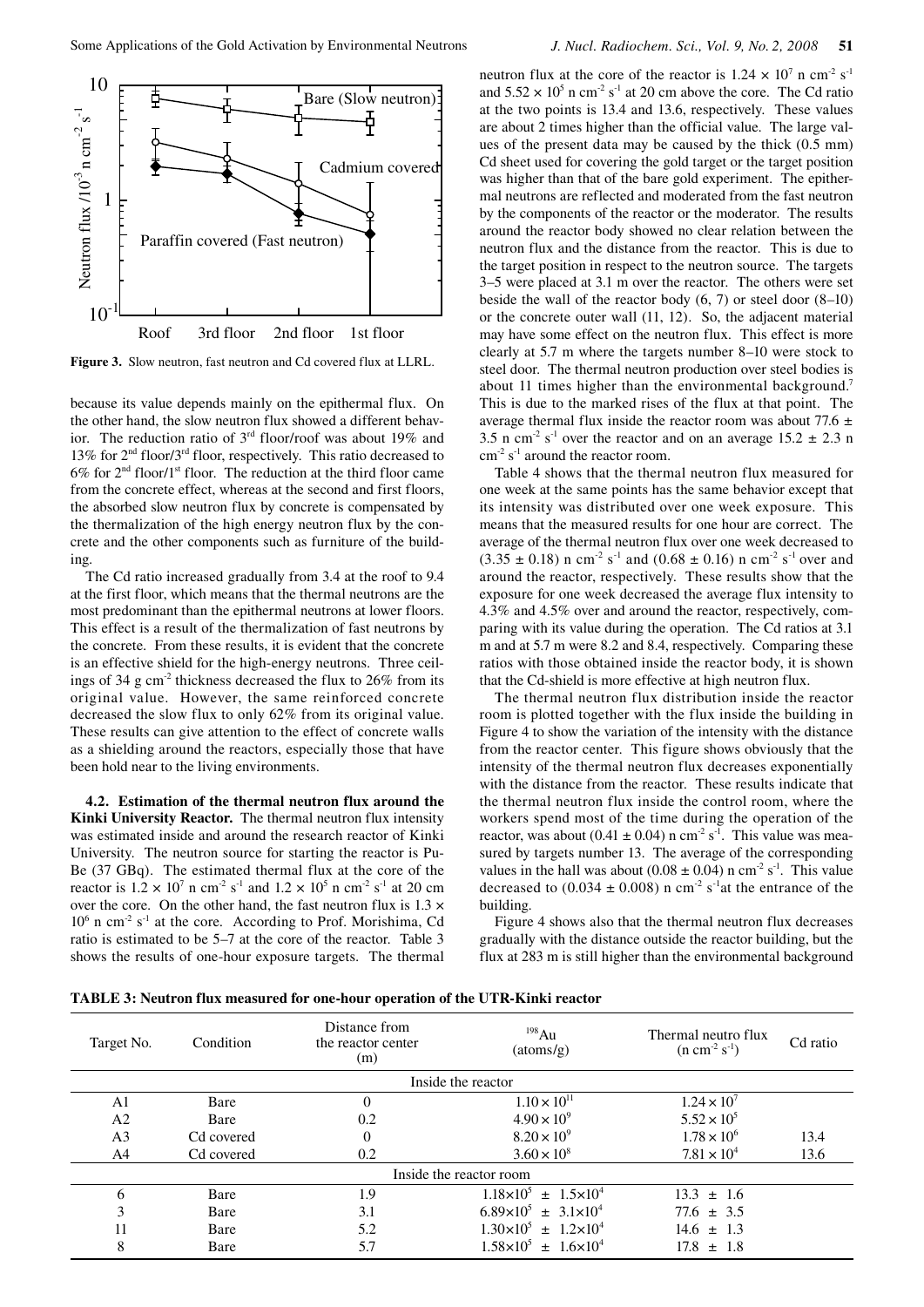

**Figure 3.** Slow neutron, fast neutron and Cd covered flux at LLRL.

because its value depends mainly on the epithermal flux. On the other hand, the slow neutron flux showed a different behavior. The reduction ratio of 3rd floor/roof was about 19% and 13% for 2nd floor/3rd floor, respectively. This ratio decreased to  $6\%$  for  $2<sup>nd</sup>$  floor/1<sup>st</sup> floor. The reduction at the third floor came from the concrete effect, whereas at the second and first floors, the absorbed slow neutron flux by concrete is compensated by the thermalization of the high energy neutron flux by the concrete and the other components such as furniture of the building.

The Cd ratio increased gradually from 3.4 at the roof to 9.4 at the first floor, which means that the thermal neutrons are the most predominant than the epithermal neutrons at lower floors. This effect is a result of the thermalization of fast neutrons by the concrete. From these results, it is evident that the concrete is an effective shield for the high-energy neutrons. Three ceilings of 34 g cm<sup>-2</sup> thickness decreased the flux to  $26\%$  from its original value. However, the same reinforced concrete decreased the slow flux to only 62% from its original value. These results can give attention to the effect of concrete walls as a shielding around the reactors, especially those that have been hold near to the living environments.

**4.2. Estimation of the thermal neutron flux around the Kinki University Reactor.** The thermal neutron flux intensity was estimated inside and around the research reactor of Kinki University. The neutron source for starting the reactor is Pu-Be (37 GBq). The estimated thermal flux at the core of the reactor is  $1.2 \times 10^7$  n cm<sup>-2</sup> s<sup>-1</sup> and  $1.2 \times 10^5$  n cm<sup>-2</sup> s<sup>-1</sup> at 20 cm over the core. On the other hand, the fast neutron flux is  $1.3 \times$ 10<sup>6</sup> n cm<sup>-2</sup> s<sup>-1</sup> at the core. According to Prof. Morishima, Cd ratio is estimated to be 5–7 at the core of the reactor. Table 3 shows the results of one-hour exposure targets. The thermal

neutron flux at the core of the reactor is  $1.24 \times 10^7$  n cm<sup>-2</sup> s<sup>-1</sup> and  $5.52 \times 10^5$  n cm<sup>-2</sup> s<sup>-1</sup> at 20 cm above the core. The Cd ratio at the two points is 13.4 and 13.6, respectively. These values are about 2 times higher than the official value. The large values of the present data may be caused by the thick (0.5 mm) Cd sheet used for covering the gold target or the target position was higher than that of the bare gold experiment. The epithermal neutrons are reflected and moderated from the fast neutron by the components of the reactor or the moderator. The results around the reactor body showed no clear relation between the neutron flux and the distance from the reactor. This is due to the target position in respect to the neutron source. The targets 3–5 were placed at 3.1 m over the reactor. The others were set beside the wall of the reactor body  $(6, 7)$  or steel door  $(8-10)$ or the concrete outer wall (11, 12). So, the adjacent material may have some effect on the neutron flux. This effect is more clearly at 5.7 m where the targets number 8–10 were stock to steel door. The thermal neutron production over steel bodies is about 11 times higher than the environmental background.<sup>7</sup> This is due to the marked rises of the flux at that point. The average thermal flux inside the reactor room was about 77.6 *±* 3.5 n cm<sup>-2</sup> s<sup>-1</sup> over the reactor and on an average  $15.2 \pm 2.3$  n  $\text{cm}^{-2}$  s<sup>-1</sup> around the reactor room.

Table 4 shows that the thermal neutron flux measured for one week at the same points has the same behavior except that its intensity was distributed over one week exposure. This means that the measured results for one hour are correct. The average of the thermal neutron flux over one week decreased to  $(3.35 \pm 0.18)$  n cm<sup>-2</sup> s<sup>-1</sup> and  $(0.68 \pm 0.16)$  n cm<sup>-2</sup> s<sup>-1</sup> over and around the reactor, respectively. These results show that the exposure for one week decreased the average flux intensity to 4.3% and 4.5% over and around the reactor, respectively, comparing with its value during the operation. The Cd ratios at 3.1 m and at 5.7 m were 8.2 and 8.4, respectively. Comparing these ratios with those obtained inside the reactor body, it is shown that the Cd-shield is more effective at high neutron flux.

The thermal neutron flux distribution inside the reactor room is plotted together with the flux inside the building in Figure 4 to show the variation of the intensity with the distance from the reactor center. This figure shows obviously that the intensity of the thermal neutron flux decreases exponentially with the distance from the reactor. These results indicate that the thermal neutron flux inside the control room, where the workers spend most of the time during the operation of the reactor, was about (0.41  $\pm$  0.04) n cm<sup>-2</sup> s<sup>-1</sup>. This value was measured by targets number 13. The average of the corresponding values in the hall was about  $(0.08 \pm 0.04)$  n cm<sup>-2</sup> s<sup>-1</sup>. This value decreased to  $(0.034 \pm 0.008)$  n cm<sup>-2</sup> s<sup>-1</sup>at the entrance of the building.

Figure 4 shows also that the thermal neutron flux decreases gradually with the distance outside the reactor building, but the flux at 283 m is still higher than the environmental background

| <b>TABLE 3: Neutron flux measured for one-hour operation of the UTR-Kinki reactor</b> |  |  |  |  |
|---------------------------------------------------------------------------------------|--|--|--|--|
|---------------------------------------------------------------------------------------|--|--|--|--|

| Target No.              | Condition  | Distance from<br>the reactor center<br>(m) | 198Au<br>(atoms/g)                     | Thermal neutro flux<br>$(n cm-2 s-1)$ | Cd ratio |  |
|-------------------------|------------|--------------------------------------------|----------------------------------------|---------------------------------------|----------|--|
|                         |            |                                            | Inside the reactor                     |                                       |          |  |
| A1                      | Bare       | 0                                          | $1.10 \times 10^{11}$                  | $1.24 \times 10^{7}$                  |          |  |
| A <sub>2</sub>          | Bare       | 0.2                                        | $4.90 \times 10^{9}$                   | $5.52 \times 10^{5}$                  |          |  |
| A <sub>3</sub>          | Cd covered | 0                                          | $8.20 \times 10^{9}$                   | $1.78 \times 10^{6}$                  | 13.4     |  |
| A4                      | Cd covered | 0.2                                        | $3.60 \times 10^{8}$                   | $7.81 \times 10^{4}$                  | 13.6     |  |
| Inside the reactor room |            |                                            |                                        |                                       |          |  |
| 6                       | Bare       | 1.9                                        | $1.18\times10^{5} \pm 1.5\times10^{4}$ | $13.3 + 1.6$                          |          |  |
| 3                       | Bare       | 3.1                                        | $6.89 \times 10^5 \pm 3.1 \times 10^4$ | $77.6 \pm 3.5$                        |          |  |
| 11                      | Bare       | 5.2                                        | $1.30\times10^{5} \pm 1.2\times10^{4}$ | $14.6 \pm 1.3$                        |          |  |
| 8                       | Bare       | 5.7                                        | $1.58\times10^{5} \pm 1.6\times10^{4}$ | 17.8<br>$\pm$ 1.8                     |          |  |